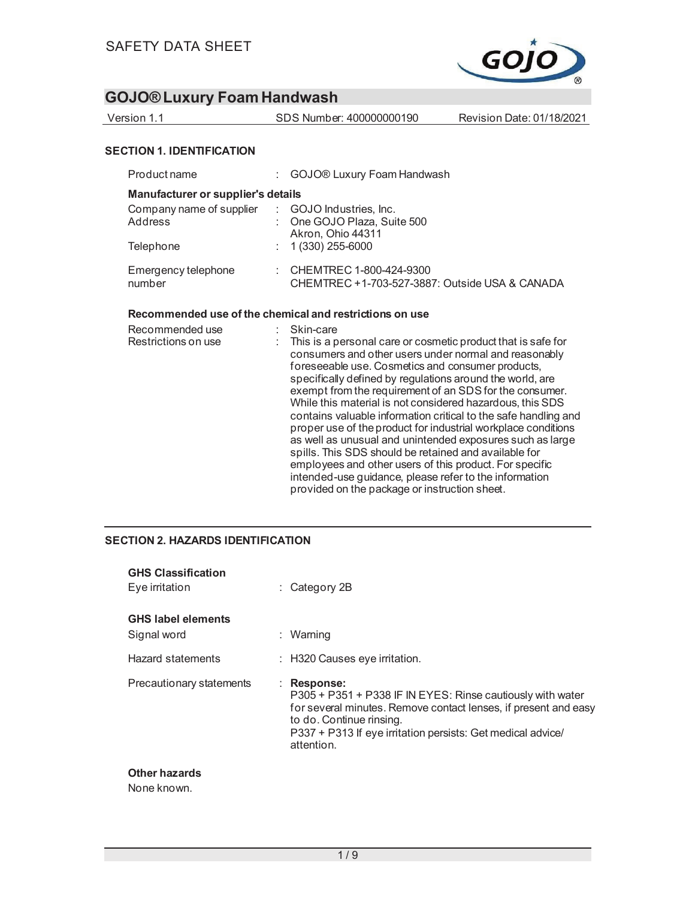

| Version 1.1                                                                            | SDS Number: 400000000190                                                                      | Revision Date: 01/18/2021 |
|----------------------------------------------------------------------------------------|-----------------------------------------------------------------------------------------------|---------------------------|
| <b>SECTION 1. IDENTIFICATION</b>                                                       |                                                                                               |                           |
| Product name                                                                           | GOJO® Luxury Foam Handwash                                                                    |                           |
| Manufacturer or supplier's details<br>Company name of supplier<br>Address<br>Telephone | : GOJO Industries. Inc.<br>One GOJO Plaza, Suite 500<br>Akron, Ohio 44311<br>1 (330) 255-6000 |                           |
| Emergency telephone<br>number                                                          | $\therefore$ CHEMTREC 1-800-424-9300<br>CHEMTREC +1-703-527-3887: Outside USA & CANADA        |                           |

#### **Recommended use of the chemical and restrictions on use**

| Recommended use<br>Restrictions on use | Skin-care<br>This is a personal care or cosmetic product that is safe for<br>consumers and other users under normal and reasonably<br>foreseeable use. Cosmetics and consumer products,<br>specifically defined by regulations around the world, are<br>exempt from the requirement of an SDS for the consumer.<br>While this material is not considered hazardous, this SDS<br>contains valuable information critical to the safe handling and<br>proper use of the product for industrial workplace conditions<br>as well as unusual and unintended exposures such as large<br>spills. This SDS should be retained and available for<br>employees and other users of this product. For specific<br>intended-use guidance, please refer to the information<br>provided on the package or instruction sheet. |
|----------------------------------------|--------------------------------------------------------------------------------------------------------------------------------------------------------------------------------------------------------------------------------------------------------------------------------------------------------------------------------------------------------------------------------------------------------------------------------------------------------------------------------------------------------------------------------------------------------------------------------------------------------------------------------------------------------------------------------------------------------------------------------------------------------------------------------------------------------------|
|----------------------------------------|--------------------------------------------------------------------------------------------------------------------------------------------------------------------------------------------------------------------------------------------------------------------------------------------------------------------------------------------------------------------------------------------------------------------------------------------------------------------------------------------------------------------------------------------------------------------------------------------------------------------------------------------------------------------------------------------------------------------------------------------------------------------------------------------------------------|

#### **SECTION 2. HAZARDS IDENTIFICATION**

| <b>GHS Classification</b><br>Eye irritation | $\therefore$ Category 2B                                                                                                                                                                                                                              |
|---------------------------------------------|-------------------------------------------------------------------------------------------------------------------------------------------------------------------------------------------------------------------------------------------------------|
| <b>GHS label elements</b><br>Signal word    | : Warning                                                                                                                                                                                                                                             |
| Hazard statements                           | $\therefore$ H320 Causes eye irritation.                                                                                                                                                                                                              |
| Precautionary statements                    | : Response:<br>P305 + P351 + P338 IF IN EYES: Rinse cautiously with water<br>for several minutes. Remove contact lenses, if present and easy<br>to do. Continue rinsing.<br>P337 + P313 If eye irritation persists: Get medical advice/<br>attention. |

#### **Other hazards**

None known.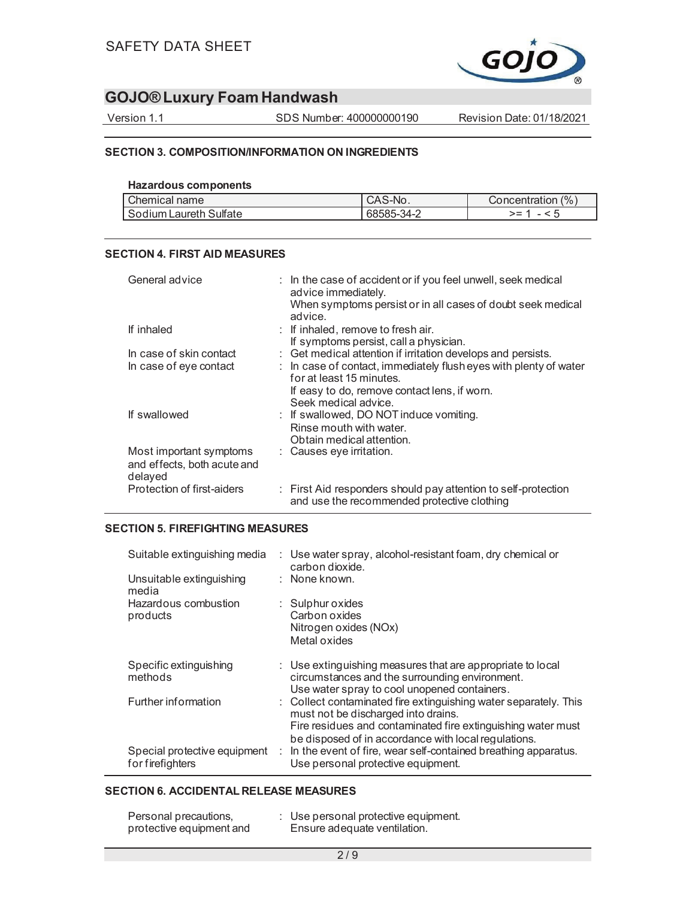

Version 1.1 SDS Number: 400000000190 Revision Date: 01/18/2021

#### **SECTION 3. COMPOSITION/INFORMATION ON INGREDIENTS**

| <b>Hazardous components</b> |
|-----------------------------|
|                             |

| Chemical name              | S-No.<br>CAS | (%<br>ncer<br>ntration |
|----------------------------|--------------|------------------------|
| Sulfate<br>Sodium Laureth, | 68585-34-2   | - -                    |

#### **SECTION 4. FIRST AID MEASURES**

| General advice                                                    | : In the case of accident or if you feel unwell, seek medical<br>advice immediately.<br>When symptoms persist or in all cases of doubt seek medical<br>advice. |
|-------------------------------------------------------------------|----------------------------------------------------------------------------------------------------------------------------------------------------------------|
| If inhaled                                                        | $:$ If inhaled, remove to fresh air.<br>If symptoms persist, call a physician.                                                                                 |
| In case of skin contact                                           | : Get medical attention if irritation develops and persists.                                                                                                   |
| In case of eye contact                                            | : In case of contact, immediately flush eyes with plenty of water<br>for at least 15 minutes.                                                                  |
|                                                                   | If easy to do, remove contact lens, if worn.<br>Seek medical advice.                                                                                           |
| If swallowed                                                      | : If swallowed, DO NOT induce vomiting.<br>Rinse mouth with water.<br>Obtain medical attention.                                                                |
| Most important symptoms<br>and effects, both acute and<br>delayed | : Causes eye irritation.                                                                                                                                       |
| Protection of first-aiders                                        | : First Aid responders should pay attention to self-protection<br>and use the recommended protective clothing                                                  |

#### **SECTION 5. FIREFIGHTING MEASURES**

| Suitable extinguishing media                     | : Use water spray, alcohol-resistant foam, dry chemical or<br>carbon dioxide.                                                                                           |
|--------------------------------------------------|-------------------------------------------------------------------------------------------------------------------------------------------------------------------------|
| Unsuitable extinguishing<br>media                | : None known.                                                                                                                                                           |
| Hazardous combustion                             | $\therefore$ Sulphur oxides                                                                                                                                             |
| products                                         | Carbon oxides                                                                                                                                                           |
|                                                  | Nitrogen oxides (NOx)                                                                                                                                                   |
|                                                  | Metal oxides                                                                                                                                                            |
| Specific extinguishing<br>methods                | $\therefore$ Use extinguishing measures that are appropriate to local<br>circumstances and the surrounding environment.<br>Use water spray to cool unopened containers. |
| Further information                              | : Collect contaminated fire extinguishing water separately. This<br>must not be discharged into drains.<br>Fire residues and contaminated fire extinguishing water must |
| Special protective equipment<br>for firefighters | be disposed of in accordance with local regulations.<br>: In the event of fire, wear self-contained breathing apparatus.<br>Use personal protective equipment.          |

#### **SECTION 6. ACCIDENTAL RELEASE MEASURES**

| Personal precautions,    | : Use personal protective equipment. |  |
|--------------------------|--------------------------------------|--|
| protective equipment and | Ensure adequate ventilation.         |  |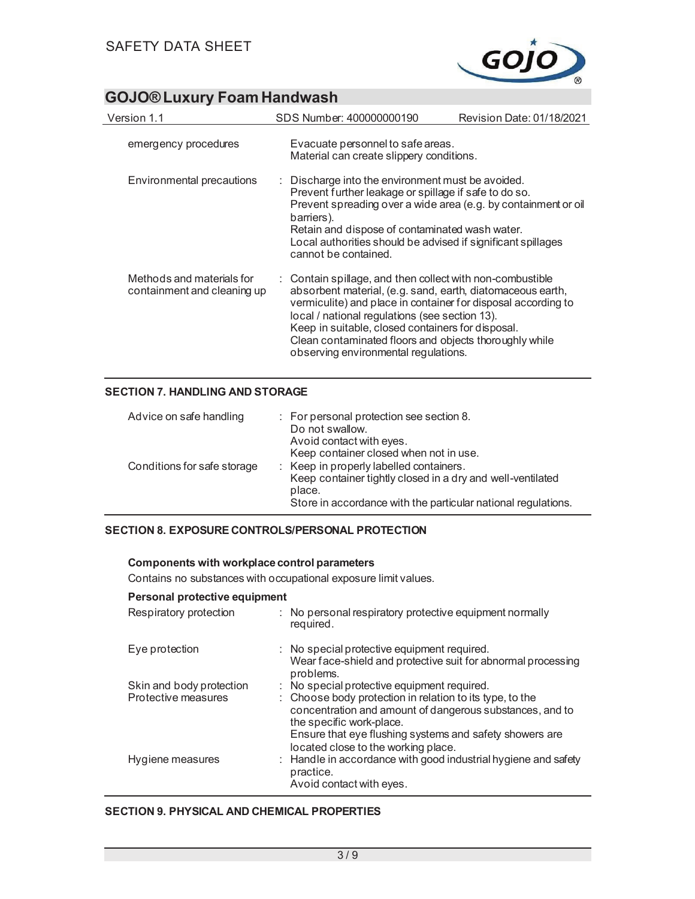

| Version 1.1                                              | SDS Number: 400000000190                                                                                                                                                                                                                                                                                                                                                                          | Revision Date: 01/18/2021 |
|----------------------------------------------------------|---------------------------------------------------------------------------------------------------------------------------------------------------------------------------------------------------------------------------------------------------------------------------------------------------------------------------------------------------------------------------------------------------|---------------------------|
| emergency procedures                                     | Evacuate personnel to safe areas.<br>Material can create slippery conditions.                                                                                                                                                                                                                                                                                                                     |                           |
| Environmental precautions                                | $\therefore$ Discharge into the environment must be avoided.<br>Prevent further leakage or spillage if safe to do so.<br>Prevent spreading over a wide area (e.g. by containment or oil<br>barriers).<br>Retain and dispose of contaminated wash water.<br>Local authorities should be advised if significant spillages<br>cannot be contained.                                                   |                           |
| Methods and materials for<br>containment and cleaning up | : Contain spillage, and then collect with non-combustible<br>absorbent material, (e.g. sand, earth, diatomaceous earth,<br>vermiculite) and place in container for disposal according to<br>local / national regulations (see section 13).<br>Keep in suitable, closed containers for disposal.<br>Clean contaminated floors and objects thoroughly while<br>observing environmental regulations. |                           |

#### **SECTION 7. HANDLING AND STORAGE**

| Advice on safe handling     | : For personal protection see section 8.<br>Do not swallow.<br>Avoid contact with eyes.<br>Keep container closed when not in use.                                                |
|-----------------------------|----------------------------------------------------------------------------------------------------------------------------------------------------------------------------------|
| Conditions for safe storage | : Keep in properly labelled containers.<br>Keep container tightly closed in a dry and well-ventilated<br>place.<br>Store in accordance with the particular national regulations. |

#### **SECTION 8. EXPOSURE CONTROLS/PERSONAL PROTECTION**

#### **Components with workplace control parameters**

Contains no substances with occupational exposure limit values.

#### **Personal protective equipment**

| Respiratory protection   | : No personal respiratory protective equipment normally<br>required.                                                                             |  |
|--------------------------|--------------------------------------------------------------------------------------------------------------------------------------------------|--|
| Eye protection           | : No special protective equipment required.<br>Wear face-shield and protective suit for abnormal processing<br>problems.                         |  |
| Skin and body protection | : No special protective equipment required.                                                                                                      |  |
| Protective measures      | : Choose body protection in relation to its type, to the<br>concentration and amount of dangerous substances, and to<br>the specific work-place. |  |
|                          | Ensure that eye flushing systems and safety showers are<br>located close to the working place.                                                   |  |
| Hygiene measures         | : Handle in accordance with good industrial hygiene and safety<br>practice.<br>Avoid contact with eyes.                                          |  |

#### **SECTION 9. PHYSICAL AND CHEMICAL PROPERTIES**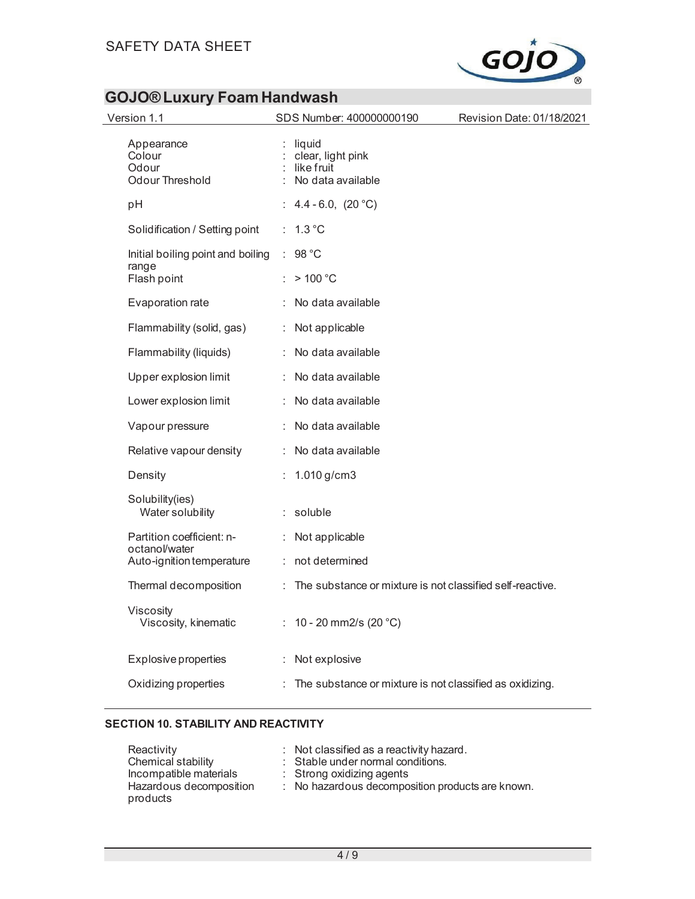

| Version 1.1                                               | SDS Number: 400000000190                                             | Revision Date: 01/18/2021 |
|-----------------------------------------------------------|----------------------------------------------------------------------|---------------------------|
| Appearance<br>Colour<br>Odour<br>Odour Threshold          | liquid<br>clear, light pink<br>$:$ like fruit<br>: No data available |                           |
| рH                                                        | : $4.4 - 6.0$ , $(20 °C)$                                            |                           |
| Solidification / Setting point                            | : 1.3 °C                                                             |                           |
| Initial boiling point and boiling<br>range<br>Flash point | 98 °C<br>÷.<br>>100 °C                                               |                           |
| Evaporation rate                                          | No data available                                                    |                           |
|                                                           |                                                                      |                           |
| Flammability (solid, gas)                                 | : Not applicable                                                     |                           |
| Flammability (liquids)                                    | : No data available                                                  |                           |
| Upper explosion limit                                     | : No data available                                                  |                           |
| Lower explosion limit                                     | : No data available                                                  |                           |
| Vapour pressure                                           | No data available<br>÷.                                              |                           |
| Relative vapour density                                   | : No data available                                                  |                           |
| Density                                                   | 1.010 $g/cm3$                                                        |                           |
| Solubility(ies)<br>Water solubility                       | $:$ soluble                                                          |                           |
| Partition coefficient: n-                                 | Not applicable<br>÷.                                                 |                           |
| octanol/water<br>Auto-ignition temperature                | not determined<br>÷.                                                 |                           |
| Thermal decomposition                                     | The substance or mixture is not classified self-reactive.            |                           |
| Viscosity<br>Viscosity, kinematic                         | : $10 - 20$ mm2/s (20 °C)                                            |                           |
| Explosive properties                                      | : Not explosive                                                      |                           |
| Oxidizing properties                                      | : The substance or mixture is not classified as oxidizing.           |                           |
|                                                           |                                                                      |                           |

#### **SECTION 10. STABILITY AND REACTIVITY**

| Reactivity              | $\therefore$ Not classified as a reactivity hazard. |
|-------------------------|-----------------------------------------------------|
| Chemical stability      | : Stable under normal conditions.                   |
| Incompatible materials  | $\therefore$ Strong oxidizing agents                |
| Hazardous decomposition | : No hazardous decomposition products are known.    |
| products                |                                                     |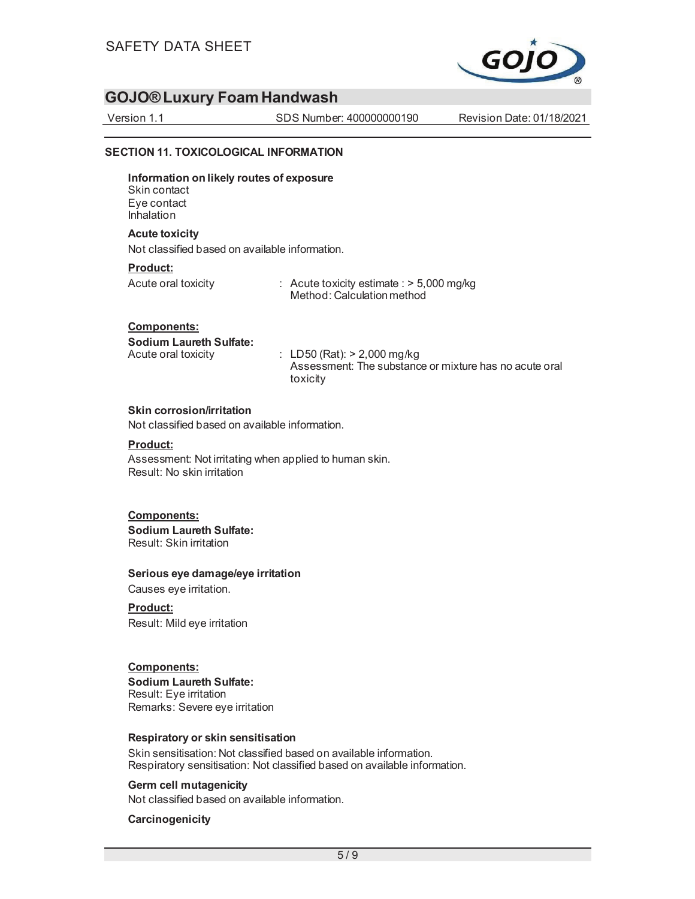

Version 1.1 SDS Number: 400000000190 Revision Date: 01/18/2021

#### **SECTION 11. TOXICOLOGICAL INFORMATION**

**Information on likely routes of exposure**  Skin contact Eye contact Inhalation

#### **Acute toxicity**

Not classified based on available information.

#### **Product:**

Acute oral toxicity : Acute toxicity estimate : > 5,000 mg/kg Method: Calculation method

#### **Components:**

**Sodium Laureth Sulfate:** 

Acute oral toxicity : LD50 (Rat): > 2,000 mg/kg Assessment: The substance or mixture has no acute oral toxicity

#### **Skin corrosion/irritation**

Not classified based on available information.

#### **Product:**

Assessment: Not irritating when applied to human skin. Result: No skin irritation

#### **Components:**

**Sodium Laureth Sulfate:**  Result: Skin irritation

#### **Serious eye damage/eye irritation**

Causes eye irritation.

#### **Product:**

Result: Mild eye irritation

#### **Components:**

**Sodium Laureth Sulfate:**  Result: Eye irritation Remarks: Severe eye irritation

#### **Respiratory or skin sensitisation**

Skin sensitisation: Not classified based on available information. Respiratory sensitisation: Not classified based on available information.

#### **Germ cell mutagenicity**

Not classified based on available information.

#### **Carcinogenicity**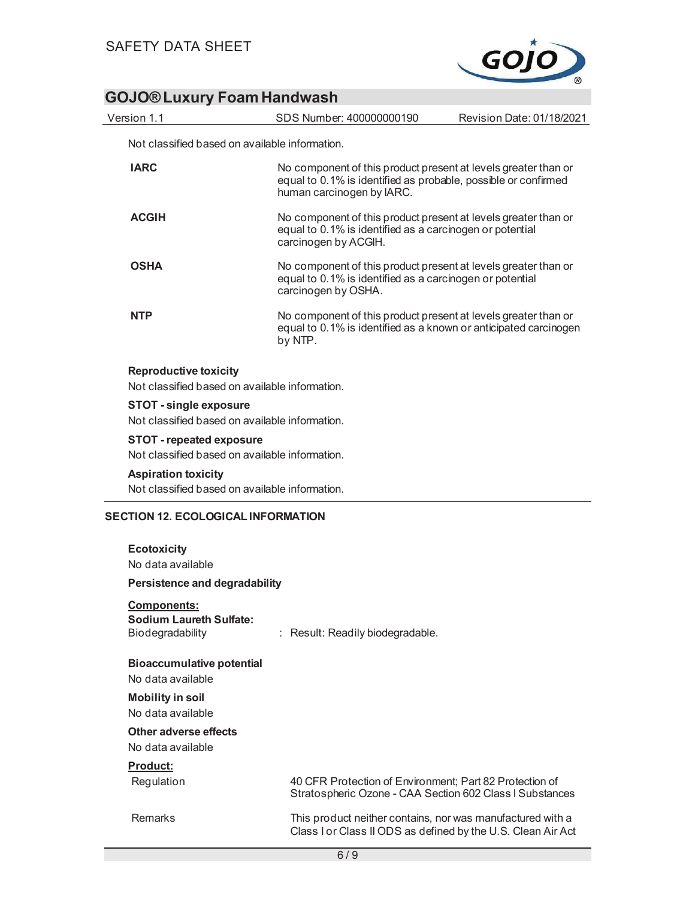

Not classified based on available information.

| <b>IARC</b>                                                                       | No component of this product present at levels greater than or<br>equal to 0.1% is identified as probable, possible or confirmed<br>human carcinogen by IARC. |
|-----------------------------------------------------------------------------------|---------------------------------------------------------------------------------------------------------------------------------------------------------------|
| <b>ACGIH</b>                                                                      | No component of this product present at levels greater than or<br>equal to 0.1% is identified as a carcinogen or potential<br>carcinogen by ACGIH.            |
| <b>OSHA</b>                                                                       | No component of this product present at levels greater than or<br>equal to 0.1% is identified as a carcinogen or potential<br>carcinogen by OSHA.             |
| NTP                                                                               | No component of this product present at levels greater than or<br>equal to 0.1% is identified as a known or anticipated carcinogen<br>by NTP.                 |
| <b>Reproductive toxicity</b><br>Not classified based on available information.    |                                                                                                                                                               |
| <b>STOT - single exposure</b><br>Not classified based on available information.   |                                                                                                                                                               |
| <b>STOT - repeated exposure</b><br>Not classified based on available information. |                                                                                                                                                               |
| <b>Aspiration toxicity</b><br>Not classified based on available information.      |                                                                                                                                                               |
| <b>SECTION 12. ECOLOGICAL INFORMATION</b>                                         |                                                                                                                                                               |
| <b>Ecotoxicity</b><br>No data available                                           |                                                                                                                                                               |
| <b>Persistence and degradability</b>                                              |                                                                                                                                                               |
| <b>Components:</b><br><b>Sodium Laureth Sulfate:</b><br>Biodegradability          | : Result: Readily biodegradable.                                                                                                                              |
| <b>Bioaccumulative potential</b><br>No data available                             |                                                                                                                                                               |
| <b>Mobility in soil</b><br>No data available                                      |                                                                                                                                                               |
| Other adverse effects<br>No data available                                        |                                                                                                                                                               |
| Product:<br>Regulation                                                            | 40 CFR Protection of Environment; Part 82 Protection of<br>Stratospheric Ozone - CAA Section 602 Class I Substances                                           |
| <b>Remarks</b>                                                                    | This product neither contains, nor was manufactured with a<br>Class I or Class II ODS as defined by the U.S. Clean Air Act                                    |
|                                                                                   | 6/9                                                                                                                                                           |
|                                                                                   |                                                                                                                                                               |

Version 1.1 SDS Number: 400000000190 Revision Date: 01/18/2021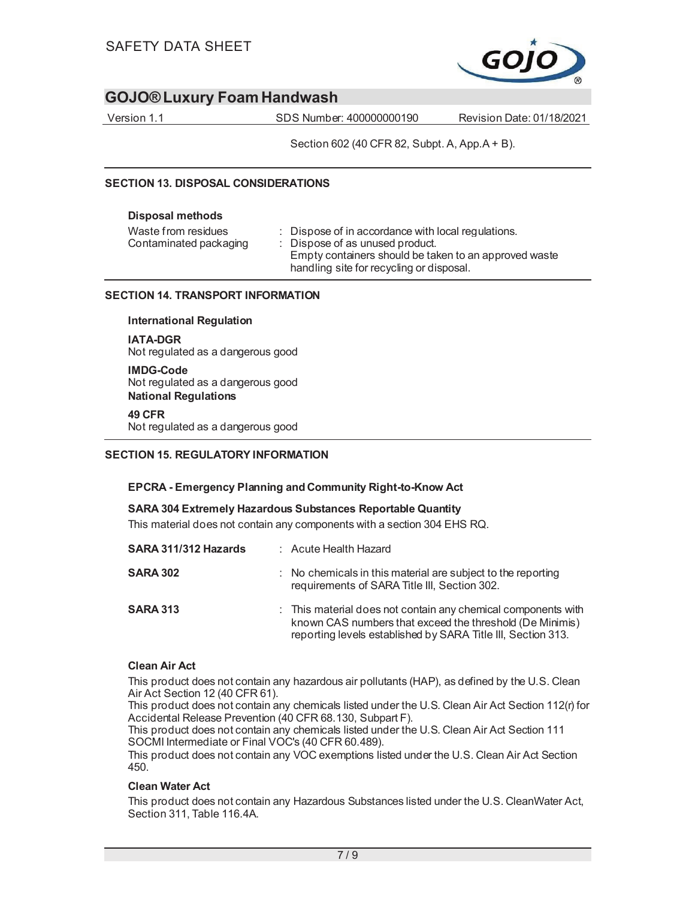

Version 1.1 SDS Number: 400000000190 Revision Date: 01/18/2021

Section 602 (40 CFR 82, Subpt. A, App.A + B).

#### **SECTION 13. DISPOSAL CONSIDERATIONS**

#### **Disposal methods**

| Waste from residues<br>Contaminated packaging | : Dispose of in accordance with local regulations.<br>: Dispose of as unused product.<br>Empty containers should be taken to an approved waste<br>handling site for recycling or disposal. |
|-----------------------------------------------|--------------------------------------------------------------------------------------------------------------------------------------------------------------------------------------------|
|                                               |                                                                                                                                                                                            |

#### **SECTION 14. TRANSPORT INFORMATION**

#### **International Regulation**

**IATA-DGR**  Not regulated as a dangerous good

#### **IMDG-Code**  Not regulated as a dangerous good **National Regulations**

#### **49 CFR**

Not regulated as a dangerous good

#### **SECTION 15. REGULATORY INFORMATION**

#### **EPCRA - Emergency Planning and Community Right-to-Know Act**

#### **SARA 304 Extremely Hazardous Substances Reportable Quantity**

This material does not contain any components with a section 304 EHS RQ.

| SARA 311/312 Hazards | : Acute Health Hazard                                                                                                                                                                     |
|----------------------|-------------------------------------------------------------------------------------------------------------------------------------------------------------------------------------------|
| <b>SARA 302</b>      | $\therefore$ No chemicals in this material are subject to the reporting<br>requirements of SARA Title III, Section 302.                                                                   |
| <b>SARA 313</b>      | : This material does not contain any chemical components with<br>known CAS numbers that exceed the threshold (De Minimis)<br>reporting levels established by SARA Title III, Section 313. |

#### **Clean Air Act**

This product does not contain any hazardous air pollutants (HAP), as defined by the U.S. Clean Air Act Section 12 (40 CFR 61).

This product does not contain any chemicals listed under the U.S. Clean Air Act Section 112(r) for Accidental Release Prevention (40 CFR 68.130, Subpart F).

This product does not contain any chemicals listed under the U.S. Clean Air Act Section 111 SOCMI Intermediate or Final VOC's (40 CFR 60.489).

This product does not contain any VOC exemptions listed under the U.S. Clean Air Act Section 450.

#### **Clean Water Act**

This product does not contain any Hazardous Substances listed under the U.S. CleanWater Act, Section 311, Table 116.4A.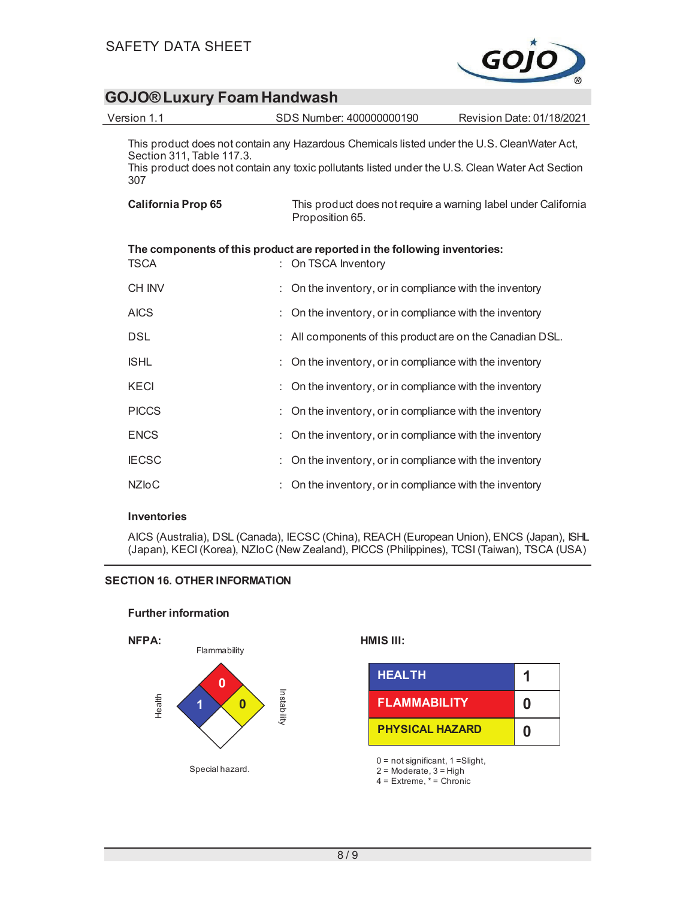

| Version 1.1                      | SDS Number: 400000000190                                                                                                                                                                        | Revision Date: 01/18/2021 |
|----------------------------------|-------------------------------------------------------------------------------------------------------------------------------------------------------------------------------------------------|---------------------------|
| Section 311, Table 117.3.<br>307 | This product does not contain any Hazardous Chemicals listed under the U.S. CleanWater Act,<br>This product does not contain any toxic pollutants listed under the U.S. Clean Water Act Section |                           |
| <b>California Prop 65</b>        | This product does not require a warning label under California<br>Proposition 65.                                                                                                               |                           |
| <b>TSCA</b>                      | The components of this product are reported in the following inventories:<br>: On TSCA Inventory                                                                                                |                           |
| <b>CH INV</b>                    | On the inventory, or in compliance with the inventory                                                                                                                                           |                           |
| <b>AICS</b>                      | On the inventory, or in compliance with the inventory                                                                                                                                           |                           |
| <b>DSL</b>                       | All components of this product are on the Canadian DSL.                                                                                                                                         |                           |
| <b>ISHL</b>                      | On the inventory, or in compliance with the inventory                                                                                                                                           |                           |
| <b>KECI</b>                      | On the inventory, or in compliance with the inventory                                                                                                                                           |                           |
| <b>PICCS</b>                     | On the inventory, or in compliance with the inventory                                                                                                                                           |                           |
| <b>ENCS</b>                      | On the inventory, or in compliance with the inventory                                                                                                                                           |                           |
| <b>IECSC</b>                     | On the inventory, or in compliance with the inventory                                                                                                                                           |                           |
| <b>NZIoC</b>                     | On the inventory, or in compliance with the inventory                                                                                                                                           |                           |

#### **Inventories**

AICS (Australia), DSL (Canada), IECSC (China), REACH (European Union), ENCS (Japan), ISHL (Japan), KECI (Korea), NZIoC (New Zealand), PICCS (Philippines), TCSI (Taiwan), TSCA (USA)

#### **SECTION 16. OTHER INFORMATION**

**Further information** 



| <b>HEALTH</b>          |   |
|------------------------|---|
| <b>FLAMMABILITY</b>    | n |
| <b>PHYSICAL HAZARD</b> | n |

0 = not significant, 1 =Slight,

 $2 =$  Moderate,  $3 =$  High

 $4 =$  Extreme,  $* =$  Chronic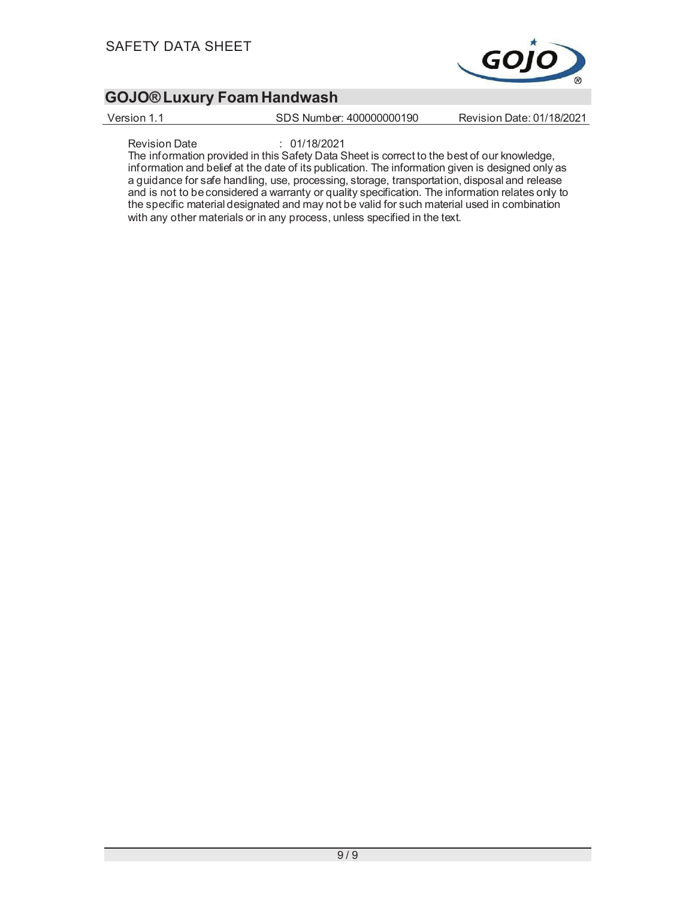

Version 1.1 SDS Number: 400000000190 Revision Date: 01/18/2021

Revision Date : 01/18/2021

The information provided in this Safety Data Sheet is correct to the best of our knowledge, information and belief at the date of its publication. The information given is designed only as a guidance for safe handling, use, processing, storage, transportation, disposal and release and is not to be considered a warranty or quality specification. The information relates only to the specific material designated and may not be valid for such material used in combination with any other materials or in any process, unless specified in the text.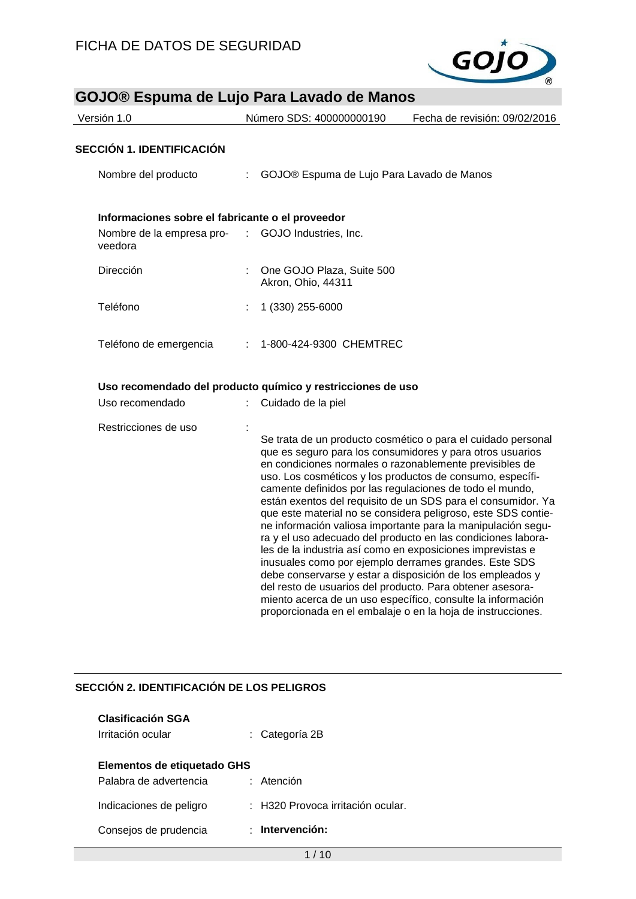

| <b>GOJO® ESpuma de Lujo Para Lavado de Manos</b> |  |                                                             |                                                                                                                                                                                                                                                                                                                                                                                                                                                                                                                                                                                                                                              |
|--------------------------------------------------|--|-------------------------------------------------------------|----------------------------------------------------------------------------------------------------------------------------------------------------------------------------------------------------------------------------------------------------------------------------------------------------------------------------------------------------------------------------------------------------------------------------------------------------------------------------------------------------------------------------------------------------------------------------------------------------------------------------------------------|
| Versión 1.0                                      |  | Número SDS: 400000000190                                    | Fecha de revisión: 09/02/2016                                                                                                                                                                                                                                                                                                                                                                                                                                                                                                                                                                                                                |
|                                                  |  |                                                             |                                                                                                                                                                                                                                                                                                                                                                                                                                                                                                                                                                                                                                              |
| <b>SECCIÓN 1. IDENTIFICACIÓN</b>                 |  |                                                             |                                                                                                                                                                                                                                                                                                                                                                                                                                                                                                                                                                                                                                              |
| Nombre del producto                              |  | GOJO® Espuma de Lujo Para Lavado de Manos                   |                                                                                                                                                                                                                                                                                                                                                                                                                                                                                                                                                                                                                                              |
| Informaciones sobre el fabricante o el proveedor |  |                                                             |                                                                                                                                                                                                                                                                                                                                                                                                                                                                                                                                                                                                                                              |
| Nombre de la empresa pro-<br>veedora             |  | : GOJO Industries, Inc.                                     |                                                                                                                                                                                                                                                                                                                                                                                                                                                                                                                                                                                                                                              |
| Dirección                                        |  | One GOJO Plaza, Suite 500<br>Akron, Ohio, 44311             |                                                                                                                                                                                                                                                                                                                                                                                                                                                                                                                                                                                                                                              |
| Teléfono                                         |  | 1 (330) 255-6000                                            |                                                                                                                                                                                                                                                                                                                                                                                                                                                                                                                                                                                                                                              |
| Teléfono de emergencia                           |  | 1-800-424-9300 CHEMTREC                                     |                                                                                                                                                                                                                                                                                                                                                                                                                                                                                                                                                                                                                                              |
|                                                  |  | Uso recomendado del producto químico y restricciones de uso |                                                                                                                                                                                                                                                                                                                                                                                                                                                                                                                                                                                                                                              |
| Uso recomendado                                  |  | Cuidado de la piel                                          |                                                                                                                                                                                                                                                                                                                                                                                                                                                                                                                                                                                                                                              |
| Restricciones de uso                             |  |                                                             | Se trata de un producto cosmético o para el cuidado personal<br>que es seguro para los consumidores y para otros usuarios<br>en condiciones normales o razonablemente previsibles de<br>uso. Los cosméticos y los productos de consumo, específi-<br>camente definidos por las regulaciones de todo el mundo,<br>están exentos del requisito de un SDS para el consumidor. Ya<br>que este material no se considera peligroso, este SDS contie-<br>ne información valiosa importante para la manipulación segu-<br>ra y el uso adecuado del producto en las condiciones labora-<br>les de la industria así como en exposiciones imprevistas e |

debe conservarse y estar a disposición de los empleados y del resto de usuarios del producto. Para obtener asesoramiento acerca de un uso específico, consulte la información proporcionada en el embalaje o en la hoja de instrucciones.

inusuales como por ejemplo derrames grandes. Este SDS

#### **SECCIÓN 2. IDENTIFICACIÓN DE LOS PELIGROS**

| <b>Clasificación SGA</b><br>Irritación ocular         | : Categoría 2B                        |
|-------------------------------------------------------|---------------------------------------|
| Elementos de etiquetado GHS<br>Palabra de advertencia | $:$ Atención                          |
| Indicaciones de peligro                               | $\pm$ H320 Provoca irritación ocular. |
| Consejos de prudencia                                 | Intervención:                         |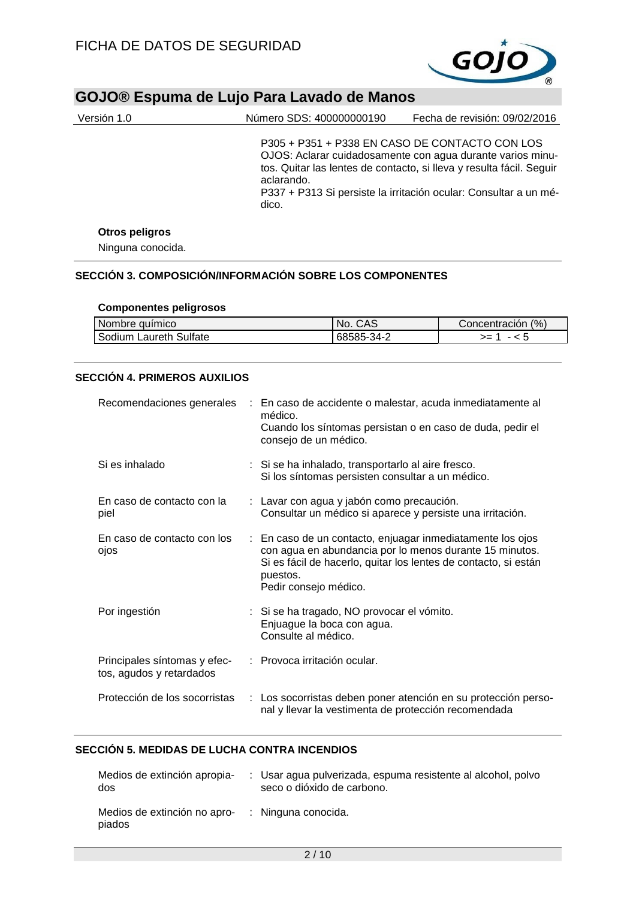

| Versión 1.0    | Número SDS: 400000000190                                              | Fecha de revisión: 09/02/2016                                                                                                                                                                          |
|----------------|-----------------------------------------------------------------------|--------------------------------------------------------------------------------------------------------------------------------------------------------------------------------------------------------|
|                | P305 + P351 + P338 EN CASO DE CONTACTO CON LOS<br>aclarando.<br>dico. | OJOS: Aclarar cuidadosamente con agua durante varios minu-<br>tos. Quitar las lentes de contacto, si lleva y resulta fácil. Seguir<br>P337 + P313 Si persiste la irritación ocular: Consultar a un mé- |
| Otros peligros |                                                                       |                                                                                                                                                                                                        |

Ninguna conocida.

### **SECCIÓN 3. COMPOSICIÓN/INFORMACIÓN SOBRE LOS COMPONENTES**

#### **Componentes peligrosos**

| l Nombre auímico       | No. CAS    | Concentración (%) |
|------------------------|------------|-------------------|
| Sodium Laureth Sulfate | 68585-34-2 | >=                |

#### **SECCIÓN 4. PRIMEROS AUXILIOS**

|                                                          | Recomendaciones generales : En caso de accidente o malestar, acuda inmediatamente al<br>médico.<br>Cuando los síntomas persistan o en caso de duda, pedir el<br>consejo de un médico.                                         |
|----------------------------------------------------------|-------------------------------------------------------------------------------------------------------------------------------------------------------------------------------------------------------------------------------|
| Si es inhalado                                           | : Si se ha inhalado, transportarlo al aire fresco.<br>Si los síntomas persisten consultar a un médico.                                                                                                                        |
| En caso de contacto con la<br>piel                       | : Lavar con agua y jabón como precaución.<br>Consultar un médico si aparece y persiste una irritación.                                                                                                                        |
| En caso de contacto con los<br>ojos                      | : En caso de un contacto, enjuagar inmediatamente los ojos<br>con agua en abundancia por lo menos durante 15 minutos.<br>Si es fácil de hacerlo, quitar los lentes de contacto, si están<br>puestos.<br>Pedir consejo médico. |
| Por ingestión                                            | : Si se ha tragado, NO provocar el vómito.<br>Enjuague la boca con agua.<br>Consulte al médico.                                                                                                                               |
| Principales síntomas y efec-<br>tos, agudos y retardados | : Provoca irritación ocular.                                                                                                                                                                                                  |
| Protección de los socorristas                            | : Los socorristas deben poner atención en su protección perso-<br>nal y llevar la vestimenta de protección recomendada                                                                                                        |

### **SECCIÓN 5. MEDIDAS DE LUCHA CONTRA INCENDIOS**

| Medios de extinción apropia-<br>dos                        | : Usar agua pulverizada, espuma resistente al alcohol, polvo<br>seco o dióxido de carbono. |
|------------------------------------------------------------|--------------------------------------------------------------------------------------------|
| Medios de extinción no apro- : Ninguna conocida.<br>piados |                                                                                            |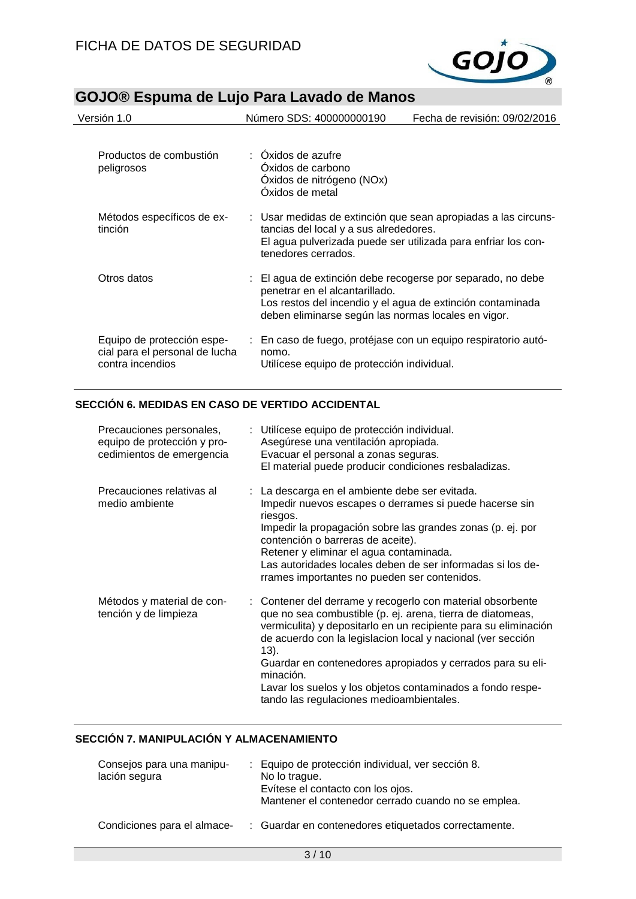

| Versión 1.0                                                                      | Número SDS: 400000000190                                                                                                                                                                                           | Fecha de revisión: 09/02/2016                                 |
|----------------------------------------------------------------------------------|--------------------------------------------------------------------------------------------------------------------------------------------------------------------------------------------------------------------|---------------------------------------------------------------|
| Productos de combustión<br>peligrosos                                            | : Oxidos de azufre<br>Oxidos de carbono<br>Oxidos de nitrógeno (NOx)<br>Oxidos de metal                                                                                                                            |                                                               |
| Métodos específicos de ex-<br>tinción                                            | : Usar medidas de extinción que sean apropiadas a las circuns-<br>tancias del local y a sus alrededores.<br>tenedores cerrados.                                                                                    | El agua pulverizada puede ser utilizada para enfriar los con- |
| Otros datos                                                                      | : El agua de extinción debe recogerse por separado, no debe<br>penetrar en el alcantarillado.<br>Los restos del incendio y el agua de extinción contaminada<br>deben eliminarse según las normas locales en vigor. |                                                               |
| Equipo de protección espe-<br>cial para el personal de lucha<br>contra incendios | : En caso de fuego, protéjase con un equipo respiratorio autó-<br>nomo.<br>Utilícese equipo de protección individual.                                                                                              |                                                               |

### **SECCIÓN 6. MEDIDAS EN CASO DE VERTIDO ACCIDENTAL**

| Precauciones personales,<br>equipo de protección y pro-<br>cedimientos de emergencia | : Utilícese equipo de protección individual.<br>Asegúrese una ventilación apropiada.<br>Evacuar el personal a zonas seguras.<br>El material puede producir condiciones resbaladizas.                                                                                                                                                                                                                                                                        |
|--------------------------------------------------------------------------------------|-------------------------------------------------------------------------------------------------------------------------------------------------------------------------------------------------------------------------------------------------------------------------------------------------------------------------------------------------------------------------------------------------------------------------------------------------------------|
| Precauciones relativas al<br>medio ambiente                                          | : La descarga en el ambiente debe ser evitada.<br>Impedir nuevos escapes o derrames si puede hacerse sin<br>riesgos.<br>Impedir la propagación sobre las grandes zonas (p. ej. por<br>contención o barreras de aceite).<br>Retener y eliminar el agua contaminada.<br>Las autoridades locales deben de ser informadas si los de-<br>rrames importantes no pueden ser contenidos.                                                                            |
| Métodos y material de con-<br>tención y de limpieza                                  | : Contener del derrame y recogerlo con material obsorbente<br>que no sea combustible (p. ej. arena, tierra de diatomeas,<br>vermiculita) y depositarlo en un recipiente para su eliminación<br>de acuerdo con la legislacion local y nacional (ver sección<br>$(13)$ .<br>Guardar en contenedores apropiados y cerrados para su eli-<br>minación.<br>Lavar los suelos y los objetos contaminados a fondo respe-<br>tando las regulaciones medioambientales. |

### **SECCIÓN 7. MANIPULACIÓN Y ALMACENAMIENTO**

| Consejos para una manipu-<br>lación segura | : Equipo de protección individual, ver sección 8.<br>No lo trague.<br>Evítese el contacto con los ojos.<br>Mantener el contenedor cerrado cuando no se emplea. |
|--------------------------------------------|----------------------------------------------------------------------------------------------------------------------------------------------------------------|
| Condiciones para el almace-                | : Guardar en contenedores etiquetados correctamente.                                                                                                           |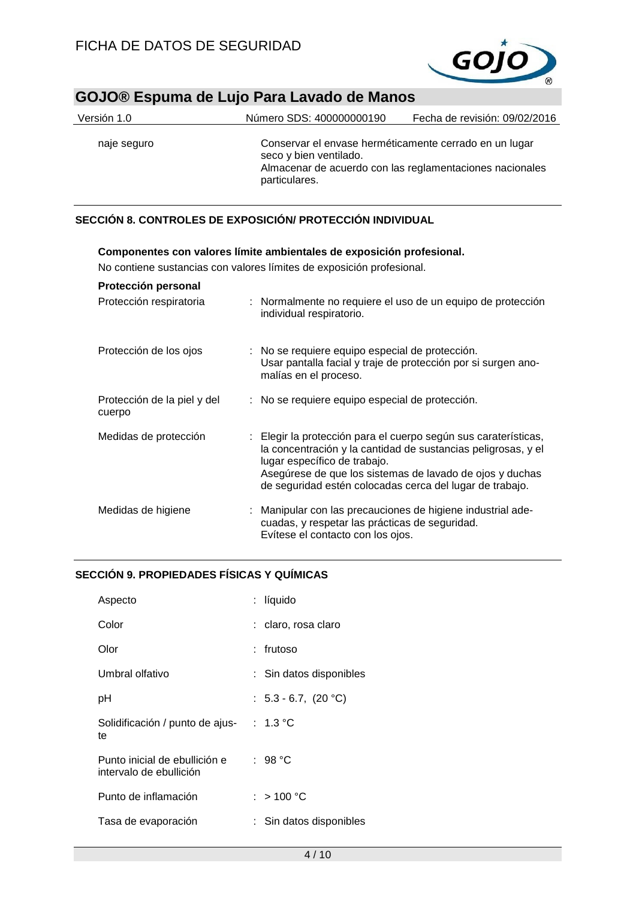

# **GOJO® Espuma de Lujo Para Lavado de Manos** Versión 1.0 Número SDS: 400000000190 Fecha de revisión: 09/02/2016 naje seguro Conservar el envase herméticamente cerrado en un lugar seco y bien ventilado. Almacenar de acuerdo con las reglamentaciones nacionales particulares.

#### **SECCIÓN 8. CONTROLES DE EXPOSICIÓN/ PROTECCIÓN INDIVIDUAL**

| Componentes con valores limite ambientales de exposición profesional. |  |                                                                                                                                                                                                                                                                                          |  |
|-----------------------------------------------------------------------|--|------------------------------------------------------------------------------------------------------------------------------------------------------------------------------------------------------------------------------------------------------------------------------------------|--|
| No contiene sustancias con valores límites de exposición profesional. |  |                                                                                                                                                                                                                                                                                          |  |
| Protección personal                                                   |  |                                                                                                                                                                                                                                                                                          |  |
| Protección respiratoria                                               |  | : Normalmente no requiere el uso de un equipo de protección<br>individual respiratorio.                                                                                                                                                                                                  |  |
| Protección de los ojos                                                |  | : No se requiere equipo especial de protección.<br>Usar pantalla facial y traje de protección por si surgen ano-<br>malías en el proceso.                                                                                                                                                |  |
| Protección de la piel y del<br>cuerpo                                 |  | : No se requiere equipo especial de protección.                                                                                                                                                                                                                                          |  |
| Medidas de protección                                                 |  | : Elegir la protección para el cuerpo según sus caraterísticas,<br>la concentración y la cantidad de sustancias peligrosas, y el<br>lugar específico de trabajo.<br>Asegúrese de que los sistemas de lavado de ojos y duchas<br>de seguridad estén colocadas cerca del lugar de trabajo. |  |
| Medidas de higiene                                                    |  | Manipular con las precauciones de higiene industrial ade-<br>cuadas, y respetar las prácticas de seguridad.<br>Evítese el contacto con los ojos.                                                                                                                                         |  |

#### **SECCIÓN 9. PROPIEDADES FÍSICAS Y QUÍMICAS**

| Aspecto                                                  | : líquido               |
|----------------------------------------------------------|-------------------------|
| Color                                                    | : claro, rosa claro     |
| Olor                                                     | : frutoso               |
| Umbral olfativo                                          | : Sin datos disponibles |
| рH                                                       | : $5.3 - 6.7$ , (20 °C) |
| Solidificación / punto de ajus-<br>te                    | : $1.3 °C$              |
| Punto inicial de ebullición e<br>intervalo de ebullición | : 98 °C                 |
| Punto de inflamación                                     | : >100 °C               |
| Tasa de evaporación                                      | : Sin datos disponibles |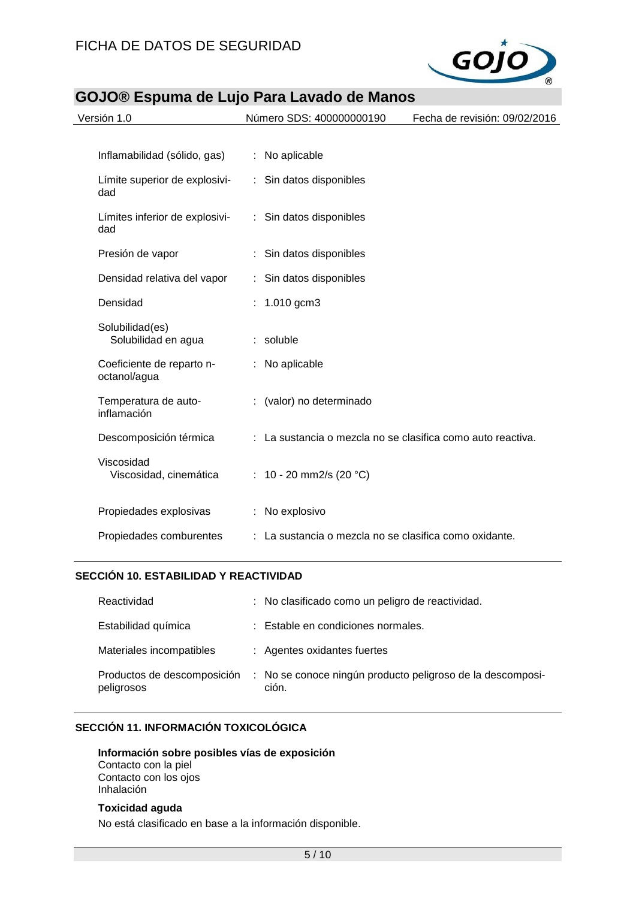

| Versión 1.0                               | Número SDS: 400000000190                                    | Fecha de revisión: 09/02/2016 |
|-------------------------------------------|-------------------------------------------------------------|-------------------------------|
|                                           |                                                             |                               |
| Inflamabilidad (sólido, gas)              | : No aplicable                                              |                               |
| Límite superior de explosivi-<br>dad      | : Sin datos disponibles                                     |                               |
| Límites inferior de explosivi-<br>dad     | : Sin datos disponibles                                     |                               |
| Presión de vapor                          | Sin datos disponibles                                       |                               |
| Densidad relativa del vapor               | : Sin datos disponibles                                     |                               |
| Densidad                                  | : $1.010$ gcm3                                              |                               |
| Solubilidad(es)<br>Solubilidad en agua    | : soluble                                                   |                               |
| Coeficiente de reparto n-<br>octanol/agua | : No aplicable                                              |                               |
| Temperatura de auto-<br>inflamación       | (valor) no determinado<br>÷                                 |                               |
| Descomposición térmica                    | : La sustancia o mezcla no se clasifica como auto reactiva. |                               |
| Viscosidad<br>Viscosidad, cinemática      | : 10 - 20 mm2/s (20 °C)                                     |                               |
| Propiedades explosivas                    | : No explosivo                                              |                               |
| Propiedades comburentes                   | : La sustancia o mezcla no se clasifica como oxidante.      |                               |

#### **SECCIÓN 10. ESTABILIDAD Y REACTIVIDAD**

| Reactividad                               | : No clasificado como un peligro de reactividad.                    |
|-------------------------------------------|---------------------------------------------------------------------|
| Estabilidad química                       | : Estable en condiciones normales.                                  |
| Materiales incompatibles                  | : Agentes oxidantes fuertes                                         |
| Productos de descomposición<br>peligrosos | : No se conoce ningún producto peligroso de la descomposi-<br>ción. |

#### **SECCIÓN 11. INFORMACIÓN TOXICOLÓGICA**

# **Información sobre posibles vías de exposición**

Contacto con la piel Contacto con los ojos Inhalación

#### **Toxicidad aguda**

No está clasificado en base a la información disponible.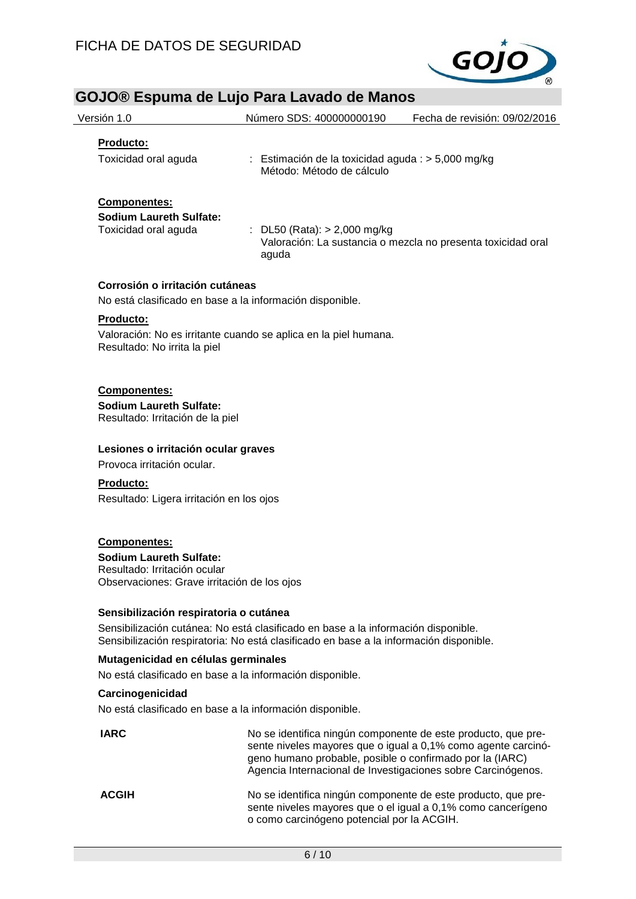

| GOJO® Espuma de Lujo Para Lavado de Manos                                                                                            |                                                                                                                                                                             |                                                                                                                                                                                                |
|--------------------------------------------------------------------------------------------------------------------------------------|-----------------------------------------------------------------------------------------------------------------------------------------------------------------------------|------------------------------------------------------------------------------------------------------------------------------------------------------------------------------------------------|
| Versión 1.0                                                                                                                          | Número SDS: 400000000190                                                                                                                                                    | Fecha de revisión: 09/02/2016                                                                                                                                                                  |
| Producto:                                                                                                                            |                                                                                                                                                                             |                                                                                                                                                                                                |
| Toxicidad oral aguda                                                                                                                 | : Estimación de la toxicidad aguda : > 5,000 mg/kg<br>Método: Método de cálculo                                                                                             |                                                                                                                                                                                                |
| Componentes:<br><b>Sodium Laureth Sulfate:</b><br>Toxicidad oral aguda                                                               | : DL50 (Rata): $> 2,000$ mg/kg<br>aguda                                                                                                                                     | Valoración: La sustancia o mezcla no presenta toxicidad oral                                                                                                                                   |
| Corrosión o irritación cutáneas                                                                                                      |                                                                                                                                                                             |                                                                                                                                                                                                |
| No está clasificado en base a la información disponible.                                                                             |                                                                                                                                                                             |                                                                                                                                                                                                |
| Producto:<br>Resultado: No irrita la piel                                                                                            | Valoración: No es irritante cuando se aplica en la piel humana.                                                                                                             |                                                                                                                                                                                                |
| <b>Componentes:</b><br><b>Sodium Laureth Sulfate:</b><br>Resultado: Irritación de la piel                                            |                                                                                                                                                                             |                                                                                                                                                                                                |
| Lesiones o irritación ocular graves<br>Provoca irritación ocular.                                                                    |                                                                                                                                                                             |                                                                                                                                                                                                |
| Producto:<br>Resultado: Ligera irritación en los ojos                                                                                |                                                                                                                                                                             |                                                                                                                                                                                                |
| <b>Componentes:</b><br><b>Sodium Laureth Sulfate:</b><br>Resultado: Irritación ocular<br>Observaciones: Grave irritación de los ojos |                                                                                                                                                                             |                                                                                                                                                                                                |
| Sensibilización respiratoria o cutánea                                                                                               | Sensibilización cutánea: No está clasificado en base a la información disponible.<br>Sensibilización respiratoria: No está clasificado en base a la información disponible. |                                                                                                                                                                                                |
| Mutagenicidad en células germinales                                                                                                  |                                                                                                                                                                             |                                                                                                                                                                                                |
| No está clasificado en base a la información disponible.                                                                             |                                                                                                                                                                             |                                                                                                                                                                                                |
| Carcinogenicidad                                                                                                                     |                                                                                                                                                                             |                                                                                                                                                                                                |
| No está clasificado en base a la información disponible.                                                                             |                                                                                                                                                                             |                                                                                                                                                                                                |
| <b>IARC</b>                                                                                                                          | geno humano probable, posible o confirmado por la (IARC)                                                                                                                    | No se identifica ningún componente de este producto, que pre-<br>sente niveles mayores que o igual a 0,1% como agente carcinó-<br>Agencia Internacional de Investigaciones sobre Carcinógenos. |
| <b>ACGIH</b>                                                                                                                         |                                                                                                                                                                             | No se identifica ningún componente de este producto, que pre-<br>sente niveles mayores que o el igual a 0,1% como cancerígeno                                                                  |

o como carcinógeno potencial por la ACGIH.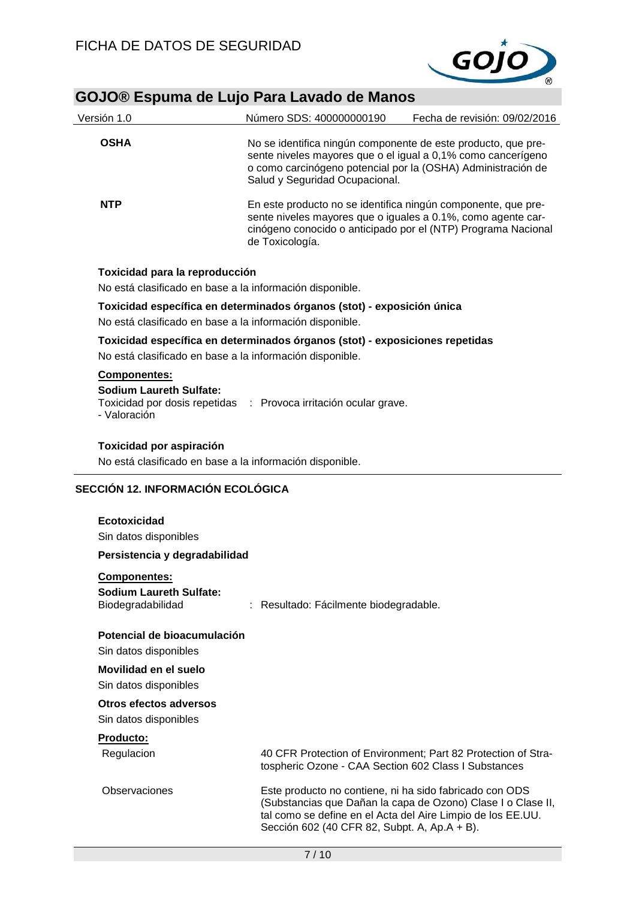

| Versión 1.0                                                                                | Número SDS: 400000000190                                                                                                                                                                                                        | Fecha de revisión: 09/02/2016 |  |  |
|--------------------------------------------------------------------------------------------|---------------------------------------------------------------------------------------------------------------------------------------------------------------------------------------------------------------------------------|-------------------------------|--|--|
| <b>OSHA</b>                                                                                | No se identifica ningún componente de este producto, que pre-<br>sente niveles mayores que o el igual a 0,1% como cancerígeno<br>o como carcinógeno potencial por la (OSHA) Administración de<br>Salud y Seguridad Ocupacional. |                               |  |  |
| <b>NTP</b>                                                                                 | En este producto no se identifica ningún componente, que pre-<br>sente niveles mayores que o iguales a 0.1%, como agente car-<br>cinógeno conocido o anticipado por el (NTP) Programa Nacional<br>de Toxicología.               |                               |  |  |
| Toxicidad para la reproducción<br>No está clasificado en base a la información disponible. |                                                                                                                                                                                                                                 |                               |  |  |

#### **Toxicidad específica en determinados órganos (stot) - exposición única**

No está clasificado en base a la información disponible.

#### **Toxicidad específica en determinados órganos (stot) - exposiciones repetidas**

No está clasificado en base a la información disponible.

#### **Componentes:**

**Sodium Laureth Sulfate:** Toxicidad por dosis repetidas : Provoca irritación ocular grave. - Valoración

# **Toxicidad por aspiración**

No está clasificado en base a la información disponible.

#### **SECCIÓN 12. INFORMACIÓN ECOLÓGICA**

#### **Ecotoxicidad**

Sin datos disponibles

#### **Persistencia y degradabilidad**

#### **Componentes:**

| <b>Sodium Laureth Sulfate:</b> |                                        |
|--------------------------------|----------------------------------------|
| Biodegradabilidad              | : Resultado: Fácilmente biodegradable. |

#### **Potencial de bioacumulación**

Sin datos disponibles

# **Movilidad en el suelo**

Sin datos disponibles

#### **Otros efectos adversos**

Sin datos disponibles

#### **Producto:**

| Regulacion    | 40 CFR Protection of Environment; Part 82 Protection of Stra-<br>tospheric Ozone - CAA Section 602 Class I Substances                                                                                                                  |
|---------------|----------------------------------------------------------------------------------------------------------------------------------------------------------------------------------------------------------------------------------------|
| Observaciones | Este producto no contiene, ni ha sido fabricado con ODS<br>(Substancias que Dañan la capa de Ozono) Clase I o Clase II,<br>tal como se define en el Acta del Aire Limpio de los EE.UU.<br>Sección 602 (40 CFR 82, Subpt. A, Ap.A + B). |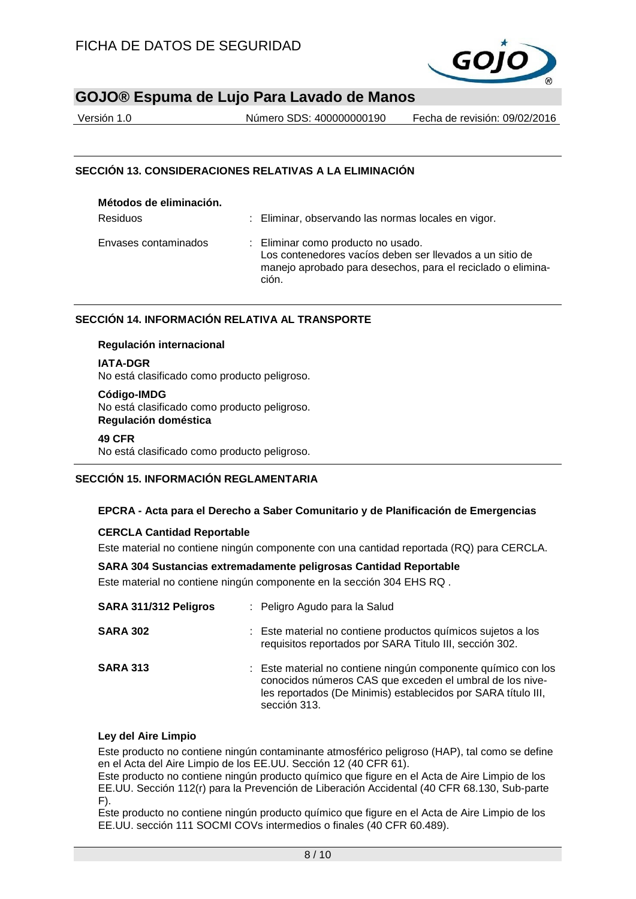

Versión 1.0 Número SDS: 400000000190 Fecha de revisión: 09/02/2016

#### **SECCIÓN 13. CONSIDERACIONES RELATIVAS A LA ELIMINACIÓN**

| Métodos de eliminación. |                                                                                                                                                                        |
|-------------------------|------------------------------------------------------------------------------------------------------------------------------------------------------------------------|
| <b>Residuos</b>         | : Eliminar, observando las normas locales en vigor.                                                                                                                    |
| Envases contaminados    | : Eliminar como producto no usado.<br>Los contenedores vacíos deben ser llevados a un sitio de<br>manejo aprobado para desechos, para el reciclado o elimina-<br>ción. |

#### **SECCIÓN 14. INFORMACIÓN RELATIVA AL TRANSPORTE**

#### **Regulación internacional**

**IATA-DGR**

No está clasificado como producto peligroso.

#### **Código-IMDG** No está clasificado como producto peligroso. **Regulación doméstica**

#### **49 CFR**

No está clasificado como producto peligroso.

#### **SECCIÓN 15. INFORMACIÓN REGLAMENTARIA**

#### **EPCRA - Acta para el Derecho a Saber Comunitario y de Planificación de Emergencias**

#### **CERCLA Cantidad Reportable**

Este material no contiene ningún componente con una cantidad reportada (RQ) para CERCLA.

#### **SARA 304 Sustancias extremadamente peligrosas Cantidad Reportable**

Este material no contiene ningún componente en la sección 304 EHS RQ .

| SARA 311/312 Peligros | : Peligro Agudo para la Salud                                                                                                                                                                              |
|-----------------------|------------------------------------------------------------------------------------------------------------------------------------------------------------------------------------------------------------|
| <b>SARA 302</b>       | : Este material no contiene productos químicos sujetos a los<br>requisitos reportados por SARA Titulo III, sección 302.                                                                                    |
| <b>SARA 313</b>       | : Este material no contiene ningún componente químico con los<br>conocidos números CAS que exceden el umbral de los nive-<br>les reportados (De Minimis) establecidos por SARA título III,<br>sección 313. |

#### **Ley del Aire Limpio**

Este producto no contiene ningún contaminante atmosférico peligroso (HAP), tal como se define en el Acta del Aire Limpio de los EE.UU. Sección 12 (40 CFR 61).

Este producto no contiene ningún producto químico que figure en el Acta de Aire Limpio de los EE.UU. Sección 112(r) para la Prevención de Liberación Accidental (40 CFR 68.130, Sub-parte  $F$ ).

Este producto no contiene ningún producto químico que figure en el Acta de Aire Limpio de los EE.UU. sección 111 SOCMI COVs intermedios o finales (40 CFR 60.489).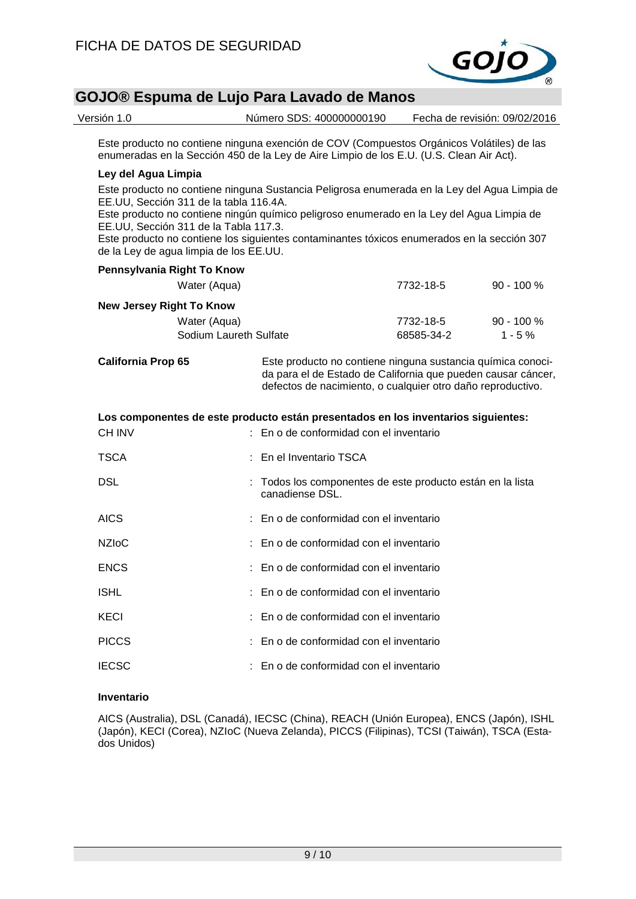

Versión 1.0 Número SDS: 400000000190 Fecha de revisión: 09/02/2016

Este producto no contiene ninguna exención de COV (Compuestos Orgánicos Volátiles) de las enumeradas en la Sección 450 de la Ley de Aire Limpio de los E.U. (U.S. Clean Air Act).

#### **Ley del Agua Limpia**

Este producto no contiene ninguna Sustancia Peligrosa enumerada en la Ley del Agua Limpia de EE.UU, Sección 311 de la tabla 116.4A.

Este producto no contiene ningún químico peligroso enumerado en la Ley del Agua Limpia de EE.UU, Sección 311 de la Tabla 117.3.

Este producto no contiene los siguientes contaminantes tóxicos enumerados en la sección 307 de la Ley de agua limpia de los EE.UU.

| Pennsylvania Right To Know                                                        |                        |                                                                                                                                                                                            |            |              |  |  |
|-----------------------------------------------------------------------------------|------------------------|--------------------------------------------------------------------------------------------------------------------------------------------------------------------------------------------|------------|--------------|--|--|
|                                                                                   | Water (Aqua)           |                                                                                                                                                                                            | 7732-18-5  | $90 - 100 %$ |  |  |
| <b>New Jersey Right To Know</b>                                                   |                        |                                                                                                                                                                                            |            |              |  |  |
|                                                                                   | Water (Aqua)           |                                                                                                                                                                                            | 7732-18-5  | $90 - 100 %$ |  |  |
|                                                                                   | Sodium Laureth Sulfate |                                                                                                                                                                                            | 68585-34-2 | $1 - 5 \%$   |  |  |
| <b>California Prop 65</b>                                                         |                        | Este producto no contiene ninguna sustancia química conoci-<br>da para el de Estado de California que pueden causar cáncer,<br>defectos de nacimiento, o cualquier otro daño reproductivo. |            |              |  |  |
| Los componentes de este producto están presentados en los inventarios siguientes: |                        |                                                                                                                                                                                            |            |              |  |  |
| <b>CH INV</b>                                                                     |                        | En o de conformidad con el inventario                                                                                                                                                      |            |              |  |  |
| <b>TSCA</b>                                                                       |                        | : En el Inventario TSCA                                                                                                                                                                    |            |              |  |  |
| <b>DSL</b>                                                                        |                        | : Todos los componentes de este producto están en la lista<br>canadiense DSL.                                                                                                              |            |              |  |  |
| <b>AICS</b>                                                                       |                        | En o de conformidad con el inventario                                                                                                                                                      |            |              |  |  |
| <b>NZIoC</b>                                                                      |                        | : En o de conformidad con el inventario                                                                                                                                                    |            |              |  |  |
| <b>ENCS</b>                                                                       |                        | En o de conformidad con el inventario                                                                                                                                                      |            |              |  |  |
| <b>ISHL</b>                                                                       |                        | En o de conformidad con el inventario                                                                                                                                                      |            |              |  |  |
| KECI                                                                              |                        | En o de conformidad con el inventario                                                                                                                                                      |            |              |  |  |

PICCS : En o de conformidad con el inventario

IECSC : En o de conformidad con el inventario

#### **Inventario**

AICS (Australia), DSL (Canadá), IECSC (China), REACH (Unión Europea), ENCS (Japón), ISHL (Japón), KECI (Corea), NZIoC (Nueva Zelanda), PICCS (Filipinas), TCSI (Taiwán), TSCA (Estados Unidos)